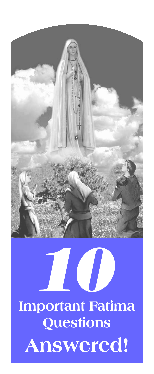

# **Important Fatima**  *10* **Questions Answered!**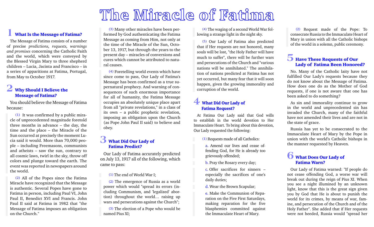## The Miracle of Fatima

## **1** What Is the Message of Fatima?

The Message of Fatima consists of a number of precise *predictions, requests, warnings and promises* concerning the Catholic Faith and the world, which were conveyed by the Blessed Virgin Mary to three shepherd children – Lucia, Jacinta and Francisco – in a series of apparitions at Fatima, Portugal, from May to October 1917.

## **2** Why Should I Believe the Message of Fatima?

You should believe the Message of Fatima because:

(1) It was confirmed by a public miracle of unprecedented magnitude foretold three months in advance – the day, the time and the place – the Miracle of the Sun occurred at precisely the moment Lucia said it would. More than 70,000 people – including Freemasons, communists and atheists – saw the sun, contrary to all cosmic laws, twirl in the sky, throw off colors and plunge toward the earth. The event was reported in newspapers around the world.

(2) All of the Popes since the Fatima Miracle have recognized that the Message is authentic. Several Popes have gone to Fatima in person, including Paul VI, John Paul II, Benedict XVI and Francis. John Paul II said at Fatima in 1982 that "the Message of Fatima imposes an obligation on the Church."

(3) Many other miracles have been performed by God authenticating the Fatima Message as coming from Him, not only at the time of the Miracle of the Sun, October 13, 1917, but through the years to the present day – miracles of conversions and cures which cannot be attributed to natural causes.

(4) Foretelling world events which have since come to pass, Our Lady of Fatima's Message has been confirmed as a true supernatural prophecy. And warning of consequences of such enormous importance for all of humanity, the Fatima Message occupies an absolutely unique place apart from all "private revelations," in a class of its own – a public prophetic revelation, imposing an obligation upon the Church (as Pope John Paul II said) to believe and obey.

#### **3** What Did Our Lady of Fatima Predict?

Our Lady of Fatima accurately predicted on July 13, 1917 all of the following, which came to pass:

(1) The end of World War I;

(2) The emergence of Russia as a world power which would "spread its errors (including Communism, and 'legalized' abortion) throughout the world… raising up wars and persecutions against the Church";

(3) The election of a Pope who would be named Pius XI;

(4) The waging of a second World War following a strange light in the night sky.

(5) Our Lady of Fatima also predicted that if Her requests are not honored, many souls will be lost, "the Holy Father will have much to suffer", there will be further wars and persecutions of the Church and "various nations will be annihilated." The annihilation of nations predicted at Fatima has not yet occurred, but many fear that it will soon happen, given the growing immorality and corruption of the world.

## **4** What Did Our Lady of Fatima Request?

At Fatima Our Lady said that God wills to establish in the world devotion to Her Immaculate Heart. To bring about this devotion, Our Lady requested the following:

(1) Requests made of all Catholics:

a. Amend our lives and cease offending God, for He is already too grievously offended;

b. Pray the Rosary every day;

c. Offer sacrifices for sinners – especially the sacrifices of one's daily duties;

d. Wear the Brown Scapular;

e. Make the Communion of Reparation on the Five First Saturdays, making reparation for the five blasphemies committed against the Immaculate Heart of Mary.

(2) Request made of the Pope: To consecrate Russia to the Immaculate Heart of Mary in union with all the Catholic bishops of the world in a solemn, public ceremony.

#### **5** Have These Requests of Our Lady of Fatima Been Honored?

No. Many of the Catholic laity have not fulfilled Our Lady's requests because they do not know about the Message of Fatima. How does one do as the Mother of God requests, if one is not aware that one has been asked to do something?

As sin and immorality continue to grow in the world and unprecedented sin has invaded the Church, many of the faithful have not amended their lives and are not in the state of grace.

Russia has yet to be consecrated to the Immaculate Heart of Mary by the Pope in union with the world's Catholic bishops in the manner requested by Heaven.

## **6** What Does Our Lady of Fatima Warn?

Our Lady of Fatima warned: "If people do not cease offending God, a worse war will break out during the reign of Pius XI. When you see a night illumined by an unknown light, know that this is the great sign given you by God that He is about to punish the world for its crimes, by means of war, famine, and persecution of the Church and of the Holy Father". She added that if Her requests were not heeded, Russia would "spread her